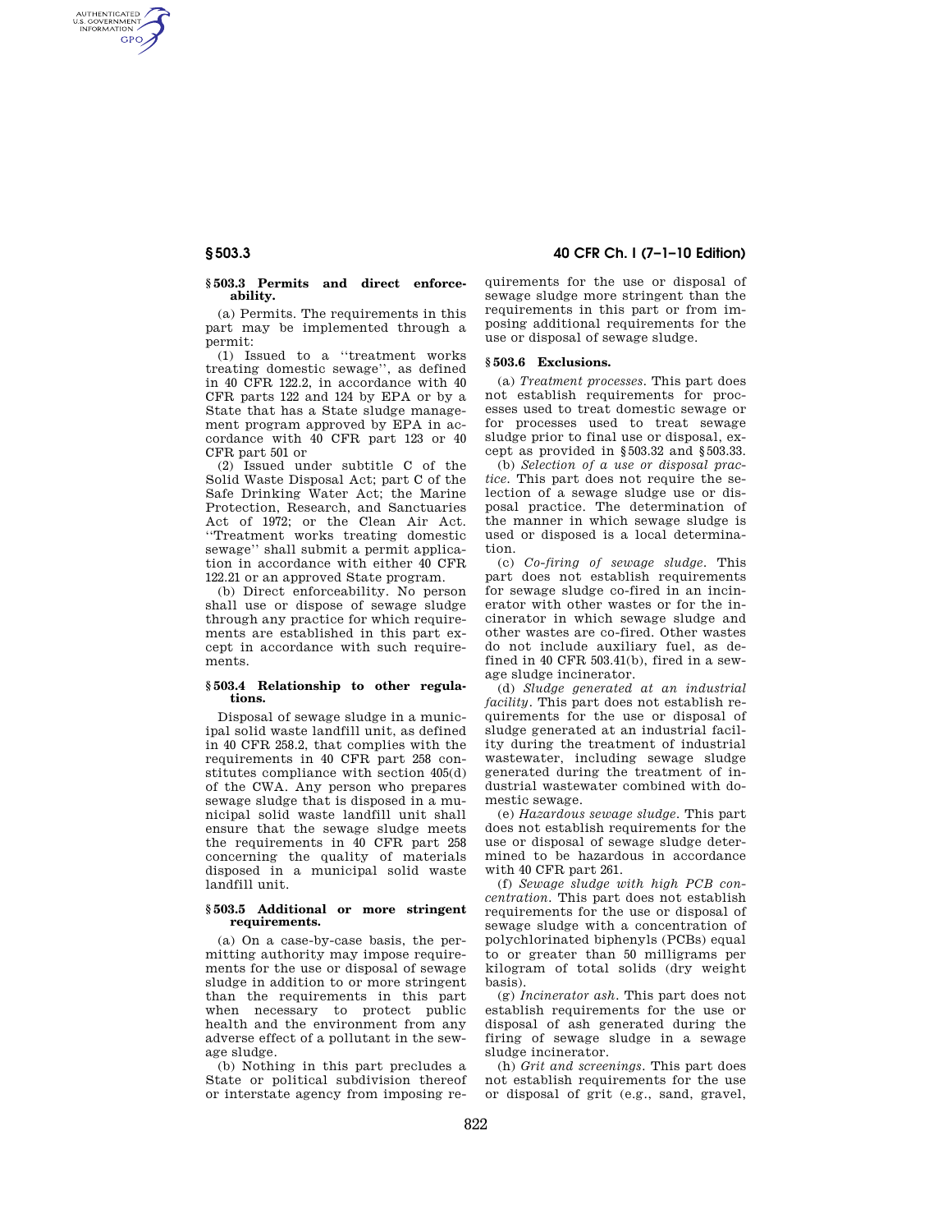AUTHENTICATED<br>U.S. GOVERNMENT<br>INFORMATION **GPO** 

## **§ 503.3 Permits and direct enforceability.**

(a) Permits. The requirements in this part may be implemented through a permit:

(1) Issued to a ''treatment works treating domestic sewage'', as defined in 40 CFR 122.2, in accordance with 40 CFR parts 122 and 124 by EPA or by a State that has a State sludge management program approved by EPA in accordance with 40 CFR part 123 or 40 CFR part 501 or

(2) Issued under subtitle C of the Solid Waste Disposal Act; part C of the Safe Drinking Water Act; the Marine Protection, Research, and Sanctuaries Act of 1972; or the Clean Air Act. ''Treatment works treating domestic sewage'' shall submit a permit application in accordance with either 40 CFR 122.21 or an approved State program.

(b) Direct enforceability. No person shall use or dispose of sewage sludge through any practice for which requirements are established in this part except in accordance with such requirements.

## **§ 503.4 Relationship to other regulations.**

Disposal of sewage sludge in a municipal solid waste landfill unit, as defined in 40 CFR 258.2, that complies with the requirements in 40 CFR part 258 constitutes compliance with section 405(d) of the CWA. Any person who prepares sewage sludge that is disposed in a municipal solid waste landfill unit shall ensure that the sewage sludge meets the requirements in 40 CFR part 258 concerning the quality of materials disposed in a municipal solid waste landfill unit.

# **§ 503.5 Additional or more stringent requirements.**

(a) On a case-by-case basis, the permitting authority may impose requirements for the use or disposal of sewage sludge in addition to or more stringent than the requirements in this part when necessary to protect public health and the environment from any adverse effect of a pollutant in the sewage sludge.

(b) Nothing in this part precludes a State or political subdivision thereof or interstate agency from imposing re-

# **§ 503.3 40 CFR Ch. I (7–1–10 Edition)**

quirements for the use or disposal of sewage sludge more stringent than the requirements in this part or from imposing additional requirements for the use or disposal of sewage sludge.

## **§ 503.6 Exclusions.**

(a) *Treatment processes.* This part does not establish requirements for processes used to treat domestic sewage or for processes used to treat sewage sludge prior to final use or disposal, except as provided in §503.32 and §503.33.

(b) *Selection of a use or disposal practice.* This part does not require the selection of a sewage sludge use or disposal practice. The determination of the manner in which sewage sludge is used or disposed is a local determination.

(c) *Co-firing of sewage sludge.* This part does not establish requirements for sewage sludge co-fired in an incinerator with other wastes or for the incinerator in which sewage sludge and other wastes are co-fired. Other wastes do not include auxiliary fuel, as defined in 40 CFR 503.41(b), fired in a sewage sludge incinerator.

(d) *Sludge generated at an industrial facility.* This part does not establish requirements for the use or disposal of sludge generated at an industrial facility during the treatment of industrial wastewater, including sewage sludge generated during the treatment of industrial wastewater combined with domestic sewage.

(e) *Hazardous sewage sludge.* This part does not establish requirements for the use or disposal of sewage sludge determined to be hazardous in accordance with 40 CFR part 261.

(f) *Sewage sludge with high PCB concentration.* This part does not establish requirements for the use or disposal of sewage sludge with a concentration of polychlorinated biphenyls (PCBs) equal to or greater than 50 milligrams per kilogram of total solids (dry weight basis).

(g) *Incinerator ash.* This part does not establish requirements for the use or disposal of ash generated during the firing of sewage sludge in a sewage sludge incinerator.

(h) *Grit and screenings.* This part does not establish requirements for the use or disposal of grit (e.g., sand, gravel,